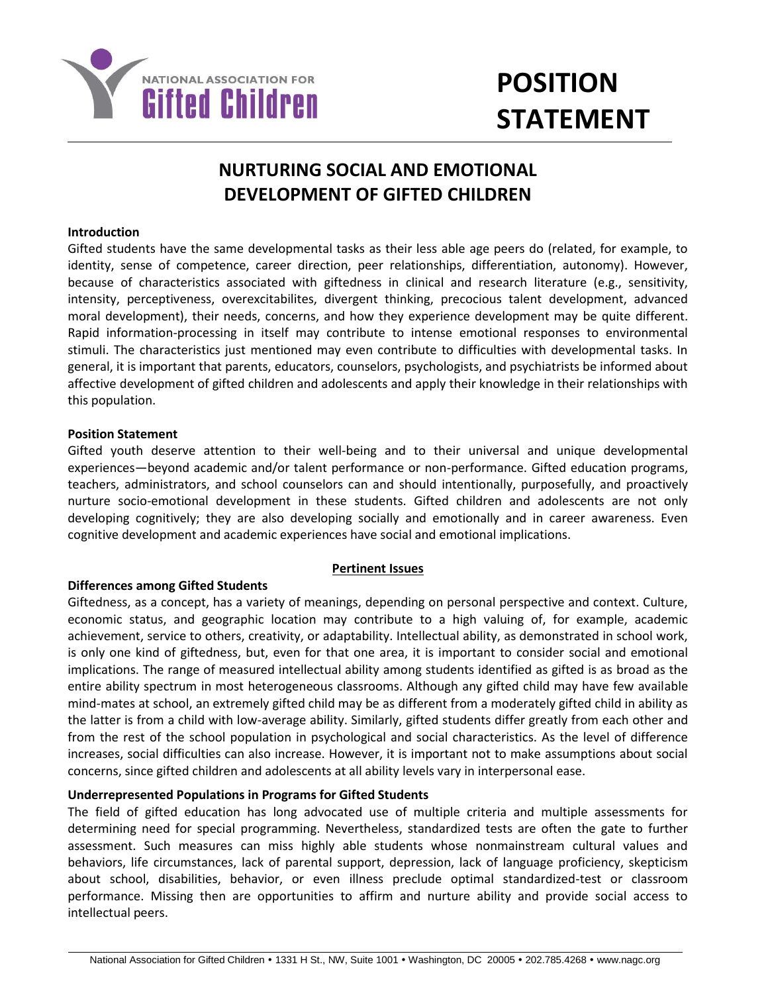

# **POSITION STATEMENT**

# **NURTURING SOCIAL AND EMOTIONAL DEVELOPMENT OF GIFTED CHILDREN**

# **Introduction**

Gifted students have the same developmental tasks as their less able age peers do (related, for example, to identity, sense of competence, career direction, peer relationships, differentiation, autonomy). However, because of characteristics associated with giftedness in clinical and research literature (e.g., sensitivity, intensity, perceptiveness, overexcitabilites, divergent thinking, precocious talent development, advanced moral development), their needs, concerns, and how they experience development may be quite different. Rapid information-processing in itself may contribute to intense emotional responses to environmental stimuli. The characteristics just mentioned may even contribute to difficulties with developmental tasks. In general, it is important that parents, educators, counselors, psychologists, and psychiatrists be informed about affective development of gifted children and adolescents and apply their knowledge in their relationships with this population.

# **Position Statement**

Gifted youth deserve attention to their well-being and to their universal and unique developmental experiences—beyond academic and/or talent performance or non-performance. Gifted education programs, teachers, administrators, and school counselors can and should intentionally, purposefully, and proactively nurture socio-emotional development in these students. Gifted children and adolescents are not only developing cognitively; they are also developing socially and emotionally and in career awareness. Even cognitive development and academic experiences have social and emotional implications.

#### **Pertinent Issues**

# **Differences among Gifted Students**

Giftedness, as a concept, has a variety of meanings, depending on personal perspective and context. Culture, economic status, and geographic location may contribute to a high valuing of, for example, academic achievement, service to others, creativity, or adaptability. Intellectual ability, as demonstrated in school work, is only one kind of giftedness, but, even for that one area, it is important to consider social and emotional implications. The range of measured intellectual ability among students identified as gifted is as broad as the entire ability spectrum in most heterogeneous classrooms. Although any gifted child may have few available mind-mates at school, an extremely gifted child may be as different from a moderately gifted child in ability as the latter is from a child with low-average ability. Similarly, gifted students differ greatly from each other and from the rest of the school population in psychological and social characteristics. As the level of difference increases, social difficulties can also increase. However, it is important not to make assumptions about social concerns, since gifted children and adolescents at all ability levels vary in interpersonal ease.

#### **Underrepresented Populations in Programs for Gifted Students**

The field of gifted education has long advocated use of multiple criteria and multiple assessments for determining need for special programming. Nevertheless, standardized tests are often the gate to further assessment. Such measures can miss highly able students whose nonmainstream cultural values and behaviors, life circumstances, lack of parental support, depression, lack of language proficiency, skepticism about school, disabilities, behavior, or even illness preclude optimal standardized-test or classroom performance. Missing then are opportunities to affirm and nurture ability and provide social access to intellectual peers.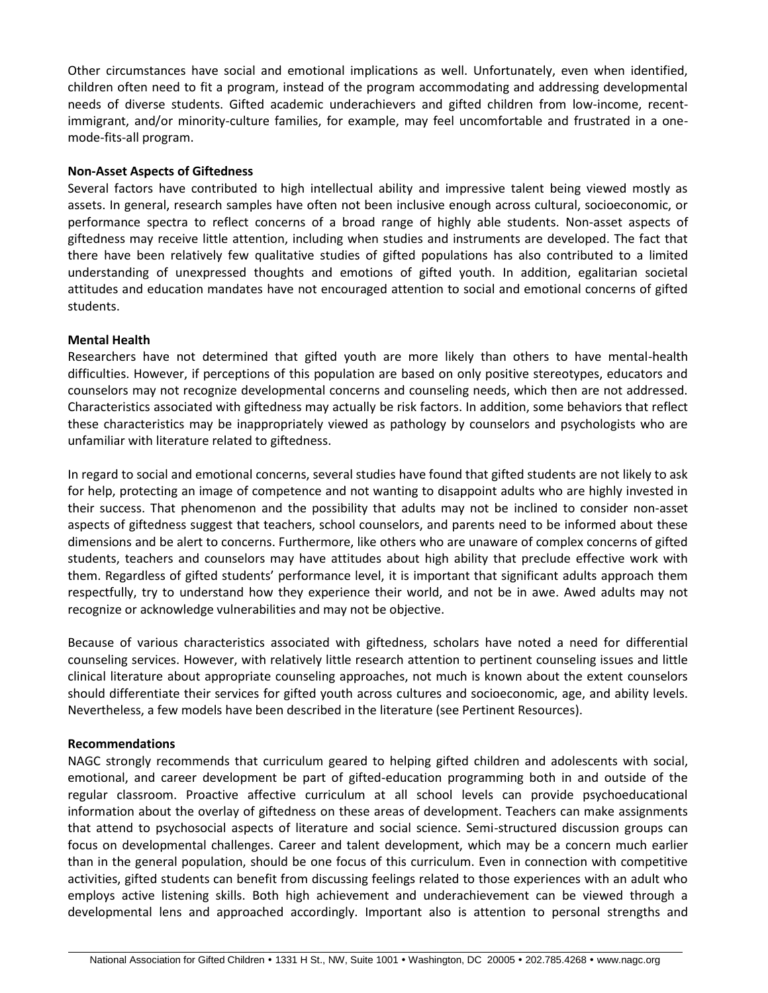Other circumstances have social and emotional implications as well. Unfortunately, even when identified, children often need to fit a program, instead of the program accommodating and addressing developmental needs of diverse students. Gifted academic underachievers and gifted children from low-income, recentimmigrant, and/or minority-culture families, for example, may feel uncomfortable and frustrated in a onemode-fits-all program.

# **Non-Asset Aspects of Giftedness**

Several factors have contributed to high intellectual ability and impressive talent being viewed mostly as assets. In general, research samples have often not been inclusive enough across cultural, socioeconomic, or performance spectra to reflect concerns of a broad range of highly able students. Non-asset aspects of giftedness may receive little attention, including when studies and instruments are developed. The fact that there have been relatively few qualitative studies of gifted populations has also contributed to a limited understanding of unexpressed thoughts and emotions of gifted youth. In addition, egalitarian societal attitudes and education mandates have not encouraged attention to social and emotional concerns of gifted students.

# **Mental Health**

Researchers have not determined that gifted youth are more likely than others to have mental-health difficulties. However, if perceptions of this population are based on only positive stereotypes, educators and counselors may not recognize developmental concerns and counseling needs, which then are not addressed. Characteristics associated with giftedness may actually be risk factors. In addition, some behaviors that reflect these characteristics may be inappropriately viewed as pathology by counselors and psychologists who are unfamiliar with literature related to giftedness.

In regard to social and emotional concerns, several studies have found that gifted students are not likely to ask for help, protecting an image of competence and not wanting to disappoint adults who are highly invested in their success. That phenomenon and the possibility that adults may not be inclined to consider non-asset aspects of giftedness suggest that teachers, school counselors, and parents need to be informed about these dimensions and be alert to concerns. Furthermore, like others who are unaware of complex concerns of gifted students, teachers and counselors may have attitudes about high ability that preclude effective work with them. Regardless of gifted students' performance level, it is important that significant adults approach them respectfully, try to understand how they experience their world, and not be in awe. Awed adults may not recognize or acknowledge vulnerabilities and may not be objective.

Because of various characteristics associated with giftedness, scholars have noted a need for differential counseling services. However, with relatively little research attention to pertinent counseling issues and little clinical literature about appropriate counseling approaches, not much is known about the extent counselors should differentiate their services for gifted youth across cultures and socioeconomic, age, and ability levels. Nevertheless, a few models have been described in the literature (see Pertinent Resources).

#### **Recommendations**

NAGC strongly recommends that curriculum geared to helping gifted children and adolescents with social, emotional, and career development be part of gifted-education programming both in and outside of the regular classroom. Proactive affective curriculum at all school levels can provide psychoeducational information about the overlay of giftedness on these areas of development. Teachers can make assignments that attend to psychosocial aspects of literature and social science. Semi-structured discussion groups can focus on developmental challenges. Career and talent development, which may be a concern much earlier than in the general population, should be one focus of this curriculum. Even in connection with competitive activities, gifted students can benefit from discussing feelings related to those experiences with an adult who employs active listening skills. Both high achievement and underachievement can be viewed through a developmental lens and approached accordingly. Important also is attention to personal strengths and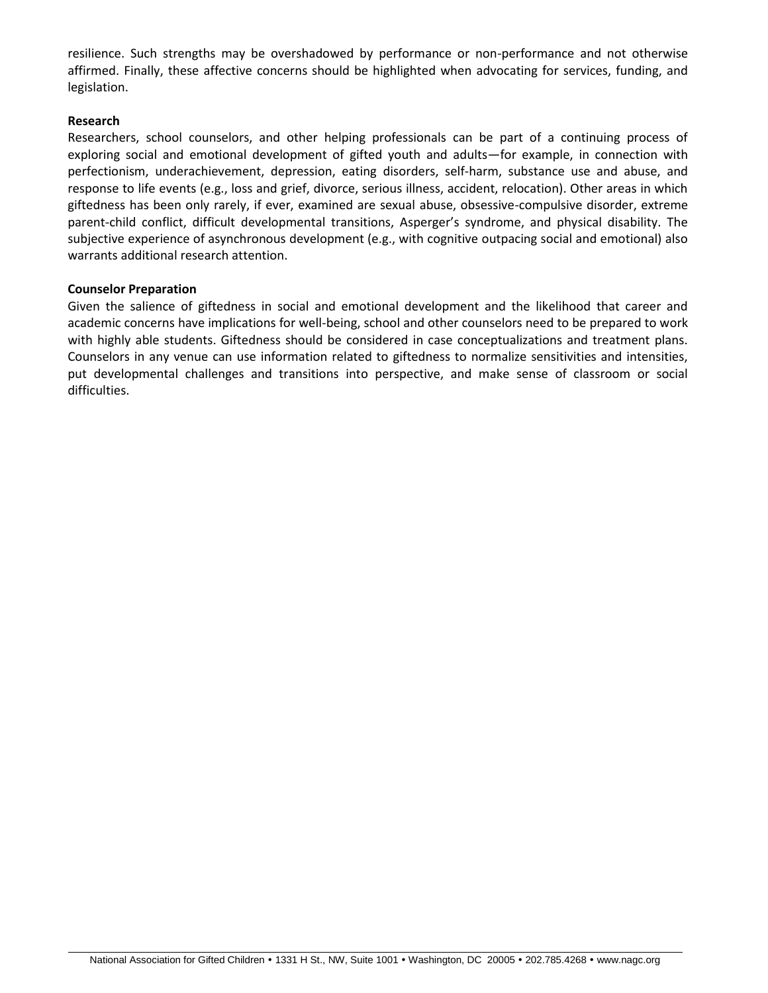resilience. Such strengths may be overshadowed by performance or non-performance and not otherwise affirmed. Finally, these affective concerns should be highlighted when advocating for services, funding, and legislation.

# **Research**

Researchers, school counselors, and other helping professionals can be part of a continuing process of exploring social and emotional development of gifted youth and adults—for example, in connection with perfectionism, underachievement, depression, eating disorders, self-harm, substance use and abuse, and response to life events (e.g., loss and grief, divorce, serious illness, accident, relocation). Other areas in which giftedness has been only rarely, if ever, examined are sexual abuse, obsessive-compulsive disorder, extreme parent-child conflict, difficult developmental transitions, Asperger's syndrome, and physical disability. The subjective experience of asynchronous development (e.g., with cognitive outpacing social and emotional) also warrants additional research attention.

#### **Counselor Preparation**

Given the salience of giftedness in social and emotional development and the likelihood that career and academic concerns have implications for well-being, school and other counselors need to be prepared to work with highly able students. Giftedness should be considered in case conceptualizations and treatment plans. Counselors in any venue can use information related to giftedness to normalize sensitivities and intensities, put developmental challenges and transitions into perspective, and make sense of classroom or social difficulties.